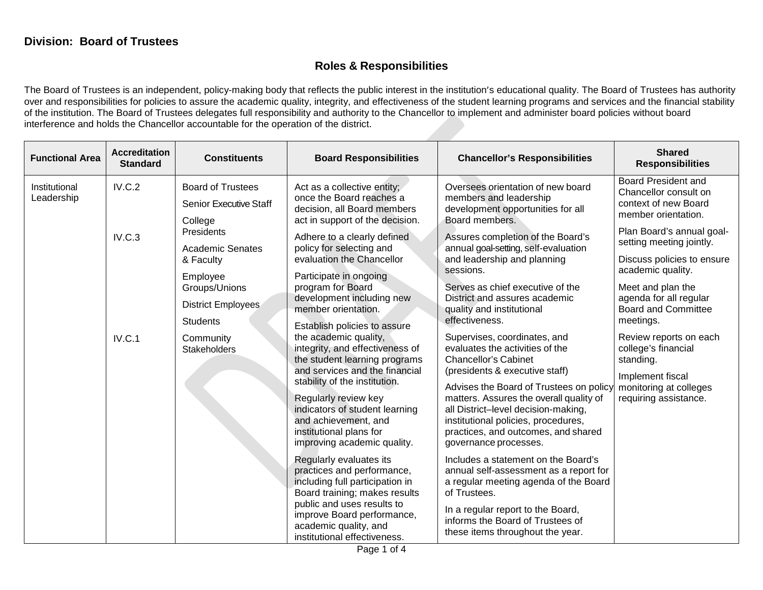## **Roles & Responsibilities**

The Board of Trustees is an independent, policy-making body that reflects the public interest in the institution's educational quality. The Board of Trustees has authority over and responsibilities for policies to assure the academic quality, integrity, and effectiveness of the student learning programs and services and the financial stability of the institution. The Board of Trustees delegates full responsibility and authority to the Chancellor to implement and administer board policies without board interference and holds the Chancellor accountable for the operation of the district.

| <b>Functional Area</b>      | <b>Accreditation</b><br><b>Standard</b> | <b>Constituents</b>                                                                                               | <b>Board Responsibilities</b>                                                                                                                                                                                                                                                                                                            | <b>Chancellor's Responsibilities</b>                                                                                                                                                                                                                                                                                                                                                                                                                                                                                                                                                                                        | <b>Shared</b><br><b>Responsibilities</b>                                                                                                                                                                                                                                       |
|-----------------------------|-----------------------------------------|-------------------------------------------------------------------------------------------------------------------|------------------------------------------------------------------------------------------------------------------------------------------------------------------------------------------------------------------------------------------------------------------------------------------------------------------------------------------|-----------------------------------------------------------------------------------------------------------------------------------------------------------------------------------------------------------------------------------------------------------------------------------------------------------------------------------------------------------------------------------------------------------------------------------------------------------------------------------------------------------------------------------------------------------------------------------------------------------------------------|--------------------------------------------------------------------------------------------------------------------------------------------------------------------------------------------------------------------------------------------------------------------------------|
| Institutional<br>Leadership | IV.C.2<br>IV.C.3                        | <b>Board of Trustees</b><br><b>Senior Executive Staff</b><br>College<br>Presidents                                | Act as a collective entity;<br>Oversees orientation of new board<br>once the Board reaches a<br>members and leadership<br>decision, all Board members<br>development opportunities for all<br>act in support of the decision.<br>Board members.<br>Assures completion of the Board's<br>Adhere to a clearly defined                      |                                                                                                                                                                                                                                                                                                                                                                                                                                                                                                                                                                                                                             | Board President and<br>Chancellor consult on<br>context of new Board<br>member orientation.<br>Plan Board's annual goal-<br>setting meeting jointly.                                                                                                                           |
|                             |                                         | <b>Academic Senates</b><br>& Faculty<br>Employee<br>Groups/Unions<br><b>District Employees</b><br><b>Students</b> | policy for selecting and<br>evaluation the Chancellor<br>Participate in ongoing<br>program for Board<br>development including new<br>member orientation.                                                                                                                                                                                 | annual goal-setting, self-evaluation<br>and leadership and planning<br>sessions.<br>Serves as chief executive of the<br>District and assures academic<br>quality and institutional<br>effectiveness.                                                                                                                                                                                                                                                                                                                                                                                                                        | Discuss policies to ensure<br>academic quality.<br>Meet and plan the<br>agenda for all regular<br><b>Board and Committee</b><br>meetings.<br>Review reports on each<br>college's financial<br>standing.<br>Implement fiscal<br>monitoring at colleges<br>requiring assistance. |
|                             | IV.C.1                                  | Community<br><b>Stakeholders</b>                                                                                  | Establish policies to assure<br>the academic quality,<br>integrity, and effectiveness of<br>the student learning programs<br>and services and the financial<br>stability of the institution.<br>Regularly review key<br>indicators of student learning<br>and achievement, and<br>institutional plans for<br>improving academic quality. | Supervises, coordinates, and<br>evaluates the activities of the<br><b>Chancellor's Cabinet</b><br>(presidents & executive staff)<br>Advises the Board of Trustees on policy<br>matters. Assures the overall quality of<br>all District-level decision-making,<br>institutional policies, procedures,<br>practices, and outcomes, and shared<br>governance processes.<br>Includes a statement on the Board's<br>annual self-assessment as a report for<br>a regular meeting agenda of the Board<br>of Trustees.<br>In a regular report to the Board,<br>informs the Board of Trustees of<br>these items throughout the year. |                                                                                                                                                                                                                                                                                |
|                             |                                         |                                                                                                                   | Regularly evaluates its<br>practices and performance,<br>including full participation in<br>Board training; makes results<br>public and uses results to<br>improve Board performance,<br>academic quality, and<br>institutional effectiveness.                                                                                           |                                                                                                                                                                                                                                                                                                                                                                                                                                                                                                                                                                                                                             |                                                                                                                                                                                                                                                                                |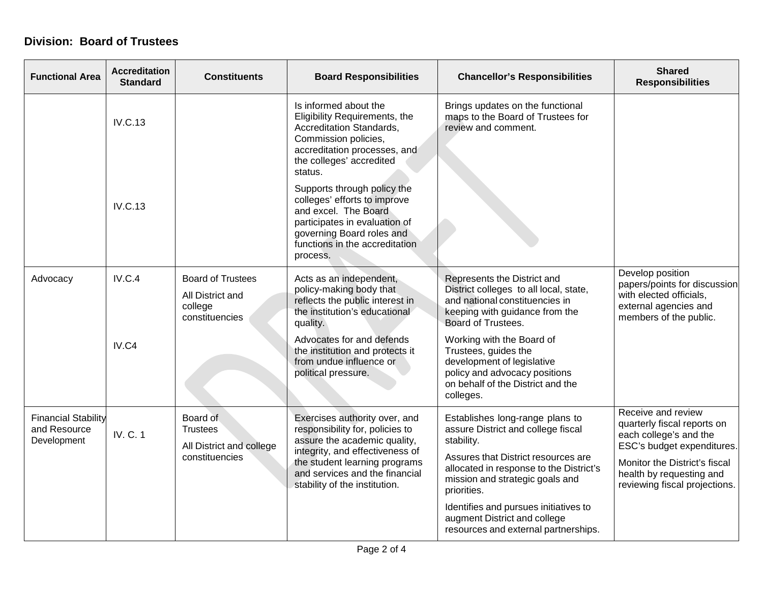## **Division: Board of Trustees**

| <b>Functional Area</b>                                    | <b>Accreditation</b><br><b>Standard</b> | <b>Constituents</b>                                                       | <b>Board Responsibilities</b>                                                                                                                                                                                                           | <b>Chancellor's Responsibilities</b>                                                                                                                                                                                    | <b>Shared</b><br><b>Responsibilities</b>                                                                                       |
|-----------------------------------------------------------|-----------------------------------------|---------------------------------------------------------------------------|-----------------------------------------------------------------------------------------------------------------------------------------------------------------------------------------------------------------------------------------|-------------------------------------------------------------------------------------------------------------------------------------------------------------------------------------------------------------------------|--------------------------------------------------------------------------------------------------------------------------------|
|                                                           | <b>IV.C.13</b>                          |                                                                           | Is informed about the<br>Eligibility Requirements, the<br>Accreditation Standards,<br>Commission policies,<br>accreditation processes, and<br>the colleges' accredited<br>status.                                                       | Brings updates on the functional<br>maps to the Board of Trustees for<br>review and comment.                                                                                                                            |                                                                                                                                |
|                                                           | <b>IV.C.13</b>                          |                                                                           | Supports through policy the<br>colleges' efforts to improve<br>and excel. The Board<br>participates in evaluation of<br>governing Board roles and<br>functions in the accreditation<br>process.                                         |                                                                                                                                                                                                                         |                                                                                                                                |
| Advocacy                                                  | IV.C.4<br>IV.C4                         | <b>Board of Trustees</b><br>All District and<br>college<br>constituencies | Acts as an independent,<br>policy-making body that<br>reflects the public interest in<br>the institution's educational<br>quality.<br>Advocates for and defends<br>the institution and protects it                                      | Represents the District and<br>District colleges to all local, state,<br>and national constituencies in<br>keeping with guidance from the<br>Board of Trustees.<br>Working with the Board of<br>Trustees, guides the    | Develop position<br>papers/points for discussion<br>with elected officials,<br>external agencies and<br>members of the public. |
|                                                           |                                         |                                                                           | from undue influence or<br>political pressure.                                                                                                                                                                                          | development of legislative<br>policy and advocacy positions<br>on behalf of the District and the<br>colleges.                                                                                                           |                                                                                                                                |
| <b>Financial Stability</b><br>and Resource<br>Development | <b>IV. C. 1</b>                         | Board of<br>Trustees<br>All District and college<br>constituencies        | Exercises authority over, and<br>responsibility for, policies to<br>assure the academic quality,<br>integrity, and effectiveness of<br>the student learning programs<br>and services and the financial<br>stability of the institution. | Establishes long-range plans to<br>assure District and college fiscal<br>stability.<br>Assures that District resources are<br>allocated in response to the District's<br>mission and strategic goals and<br>priorities. | Receive and review<br>quarterly fiscal reports on<br>each college's and the<br>ESC's budget expenditures.                      |
|                                                           |                                         |                                                                           |                                                                                                                                                                                                                                         |                                                                                                                                                                                                                         | Monitor the District's fiscal<br>health by requesting and<br>reviewing fiscal projections.                                     |
|                                                           |                                         |                                                                           |                                                                                                                                                                                                                                         | Identifies and pursues initiatives to<br>augment District and college<br>resources and external partnerships.                                                                                                           |                                                                                                                                |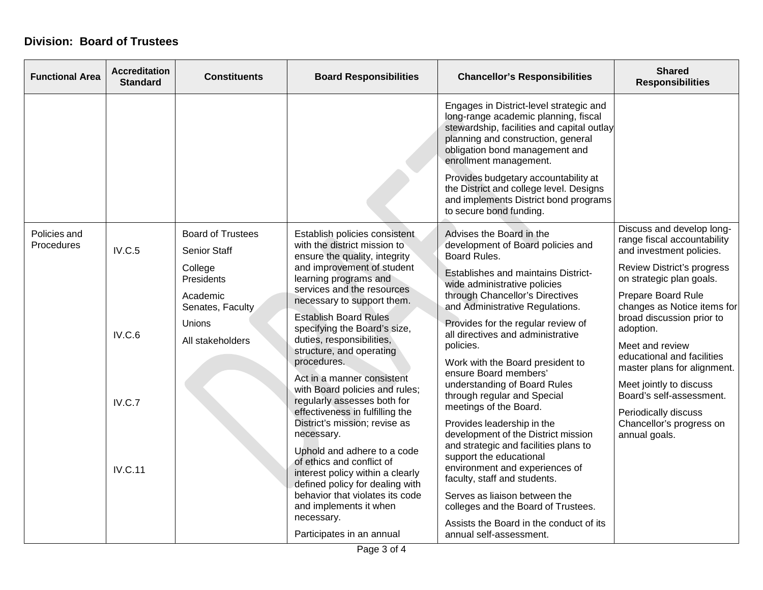## **Division: Board of Trustees**

| <b>Functional Area</b>     | <b>Accreditation</b><br><b>Standard</b>      | <b>Constituents</b>                                                                                                                    | <b>Board Responsibilities</b>                                                                                                                                                                                                                                                                                                                                                                                                                                                                                                                                                                                                                                                                                                              | <b>Chancellor's Responsibilities</b>                                                                                                                                                                                                                                                                                                                                                                                                                                                                                                                                                                                                                                                                                                                        | <b>Shared</b><br><b>Responsibilities</b>                                                                                                                                                                                                                                                                                                                                                                                                                  |
|----------------------------|----------------------------------------------|----------------------------------------------------------------------------------------------------------------------------------------|--------------------------------------------------------------------------------------------------------------------------------------------------------------------------------------------------------------------------------------------------------------------------------------------------------------------------------------------------------------------------------------------------------------------------------------------------------------------------------------------------------------------------------------------------------------------------------------------------------------------------------------------------------------------------------------------------------------------------------------------|-------------------------------------------------------------------------------------------------------------------------------------------------------------------------------------------------------------------------------------------------------------------------------------------------------------------------------------------------------------------------------------------------------------------------------------------------------------------------------------------------------------------------------------------------------------------------------------------------------------------------------------------------------------------------------------------------------------------------------------------------------------|-----------------------------------------------------------------------------------------------------------------------------------------------------------------------------------------------------------------------------------------------------------------------------------------------------------------------------------------------------------------------------------------------------------------------------------------------------------|
|                            |                                              |                                                                                                                                        |                                                                                                                                                                                                                                                                                                                                                                                                                                                                                                                                                                                                                                                                                                                                            | Engages in District-level strategic and<br>long-range academic planning, fiscal<br>stewardship, facilities and capital outlay<br>planning and construction, general<br>obligation bond management and<br>enrollment management.<br>Provides budgetary accountability at<br>the District and college level. Designs<br>and implements District bond programs<br>to secure bond funding.                                                                                                                                                                                                                                                                                                                                                                      |                                                                                                                                                                                                                                                                                                                                                                                                                                                           |
| Policies and<br>Procedures | IV.C.5<br>IV.C.6<br>IV.C.7<br><b>IV.C.11</b> | <b>Board of Trustees</b><br><b>Senior Staff</b><br>College<br>Presidents<br>Academic<br>Senates, Faculty<br>Unions<br>All stakeholders | Establish policies consistent<br>with the district mission to<br>ensure the quality, integrity<br>and improvement of student<br>learning programs and<br>services and the resources<br>necessary to support them.<br><b>Establish Board Rules</b><br>specifying the Board's size,<br>duties, responsibilities,<br>structure, and operating<br>procedures.<br>Act in a manner consistent<br>with Board policies and rules;<br>regularly assesses both for<br>effectiveness in fulfilling the<br>District's mission; revise as<br>necessary.<br>Uphold and adhere to a code<br>of ethics and conflict of<br>interest policy within a clearly<br>defined policy for dealing with<br>behavior that violates its code<br>and implements it when | Advises the Board in the<br>development of Board policies and<br>Board Rules.<br>Establishes and maintains District-<br>wide administrative policies<br>through Chancellor's Directives<br>and Administrative Regulations.<br>Provides for the regular review of<br>all directives and administrative<br>policies.<br>Work with the Board president to<br>ensure Board members'<br>understanding of Board Rules<br>through regular and Special<br>meetings of the Board.<br>Provides leadership in the<br>development of the District mission<br>and strategic and facilities plans to<br>support the educational<br>environment and experiences of<br>faculty, staff and students.<br>Serves as liaison between the<br>colleges and the Board of Trustees. | Discuss and develop long-<br>range fiscal accountability<br>and investment policies.<br>Review District's progress<br>on strategic plan goals.<br>Prepare Board Rule<br>changes as Notice items for<br>broad discussion prior to<br>adoption.<br>Meet and review<br>educational and facilities<br>master plans for alignment.<br>Meet jointly to discuss<br>Board's self-assessment.<br>Periodically discuss<br>Chancellor's progress on<br>annual goals. |
|                            |                                              |                                                                                                                                        | necessary.<br>Participates in an annual                                                                                                                                                                                                                                                                                                                                                                                                                                                                                                                                                                                                                                                                                                    | Assists the Board in the conduct of its<br>annual self-assessment.                                                                                                                                                                                                                                                                                                                                                                                                                                                                                                                                                                                                                                                                                          |                                                                                                                                                                                                                                                                                                                                                                                                                                                           |